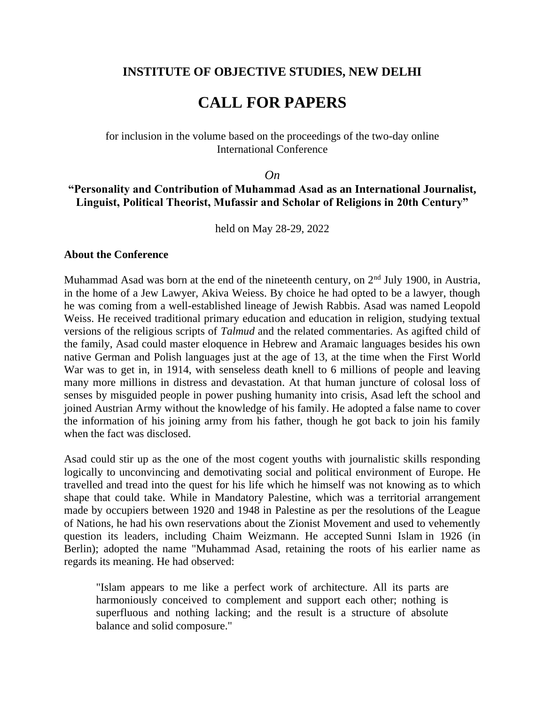# **INSTITUTE OF OBJECTIVE STUDIES, NEW DELHI**

# **CALL FOR PAPERS**

#### for inclusion in the volume based on the proceedings of the two-day online International Conference

#### *On*

## **"Personality and Contribution of Muhammad Asad as an International Journalist, Linguist, Political Theorist, Mufassir and Scholar of Religions in 20th Century"**

held on May 28-29, 2022

#### **About the Conference**

Muhammad Asad was born at the end of the nineteenth century, on  $2<sup>nd</sup>$  July 1900, in Austria, in the home of a Jew Lawyer, Akiva Weiess. By choice he had opted to be a lawyer, though he was coming from a well-established lineage of Jewish Rabbis. Asad was named Leopold Weiss. He received traditional primary education and education in religion, studying textual versions of the religious scripts of *Talmud* and the related commentaries. As agifted child of the family, Asad could master eloquence in Hebrew and Aramaic languages besides his own native German and Polish languages just at the age of 13, at the time when the First World War was to get in, in 1914, with senseless death knell to 6 millions of people and leaving many more millions in distress and devastation. At that human juncture of colosal loss of senses by misguided people in power pushing humanity into crisis, Asad left the school and joined Austrian Army without the knowledge of his family. He adopted a false name to cover the information of his joining army from his father, though he got back to join his family when the fact was disclosed.

Asad could stir up as the one of the most cogent youths with journalistic skills responding logically to unconvincing and demotivating social and political environment of Europe. He travelled and tread into the quest for his life which he himself was not knowing as to which shape that could take. While in Mandatory Palestine, which was a territorial arrangement made by occupiers between 1920 and 1948 in Palestine as per the resolutions of the League of Nations, he had his own reservations about the Zionist Movement and used to vehemently question its leaders, including Chaim Weizmann. He accepted Sunni Islam in 1926 (in Berlin); adopted the name "Muhammad Asad, retaining the roots of his earlier name as regards its meaning. He had observed:

"Islam appears to me like a perfect work of architecture. All its parts are harmoniously conceived to complement and support each other; nothing is superfluous and nothing lacking; and the result is a structure of absolute balance and solid composure."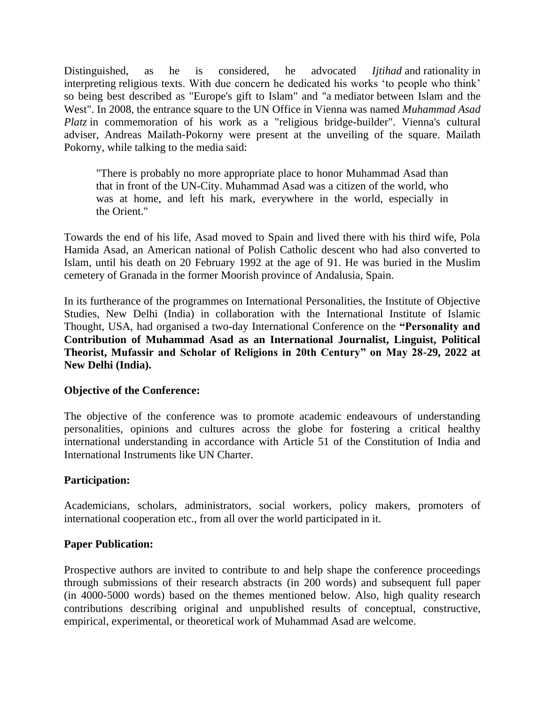Distinguished, as he is considered, he advocated *Ijtihad* and rationality in interpreting religious texts. With due concern he dedicated his works 'to people who think' so being best described as "Europe's gift to Islam" and "a mediator between Islam and the West". In 2008, the entrance square to the UN Office in Vienna was named *Muhammad Asad Platz* in commemoration of his work as a "religious bridge-builder". Vienna's cultural adviser, Andreas Mailath-Pokorny were present at the unveiling of the square. Mailath Pokorny, while talking to the media said:

"There is probably no more appropriate place to honor Muhammad Asad than that in front of the UN-City. Muhammad Asad was a citizen of the world, who was at home, and left his mark, everywhere in the world, especially in the Orient."

Towards the end of his life, Asad moved to Spain and lived there with his third wife, Pola Hamida Asad, an American national of Polish Catholic descent who had also converted to Islam, until his death on 20 February 1992 at the age of 91. He was buried in the Muslim cemetery of Granada in the former Moorish province of Andalusia, Spain.

In its furtherance of the programmes on International Personalities, the Institute of Objective Studies, New Delhi (India) in collaboration with the International Institute of Islamic Thought, USA, had organised a two-day International Conference on the **"Personality and Contribution of Muhammad Asad as an International Journalist, Linguist, Political Theorist, Mufassir and Scholar of Religions in 20th Century" on May 28-29, 2022 at New Delhi (India).**

### **Objective of the Conference:**

The objective of the conference was to promote academic endeavours of understanding personalities, opinions and cultures across the globe for fostering a critical healthy international understanding in accordance with Article 51 of the Constitution of India and International Instruments like UN Charter.

### **Participation:**

Academicians, scholars, administrators, social workers, policy makers, promoters of international cooperation etc., from all over the world participated in it.

### **Paper Publication:**

Prospective authors are invited to contribute to and help shape the conference proceedings through submissions of their research abstracts (in 200 words) and subsequent full paper (in 4000-5000 words) based on the themes mentioned below. Also, high quality research contributions describing original and unpublished results of conceptual, constructive, empirical, experimental, or theoretical work of Muhammad Asad are welcome.